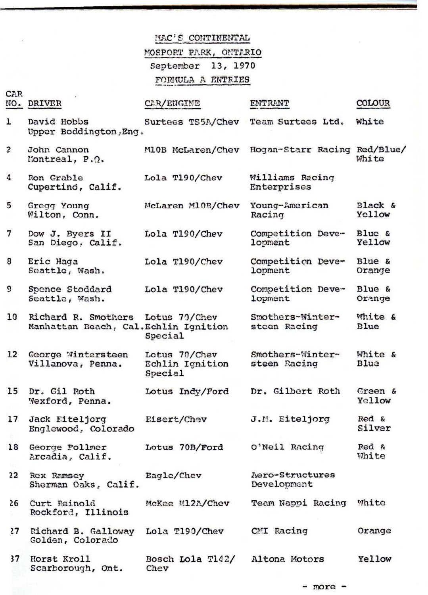|                         |                                                             | MAC'S CONTINENTAL                                                |                                  |                            |
|-------------------------|-------------------------------------------------------------|------------------------------------------------------------------|----------------------------------|----------------------------|
|                         |                                                             | MOSPORT PARK, ONTARIO<br>September 13, 1970<br>FORKULA A ENTRIES |                                  |                            |
| CAR.                    | NO. DRIVER                                                  | CAR/ENGINE                                                       | ENTRANT                          | COLOUR                     |
| 1                       | David Hobbs<br>Upper Boddington, Eng.                       | Surtees TS5A/Chev                                                | Team Surtees Ltd.                | White                      |
| $\overline{\mathbf{c}}$ | John Cannon<br>Montreal, P.O.                               | M10B McLaren/Chev                                                | Hogan-Starr Racing Red/Blue/     | White                      |
| 4                       | Ron Grable<br>Cupertino, Calif.                             | Lola T190/Chev                                                   | Williams Racing<br>Enterprises   |                            |
| 5                       | Gread Young<br>Wilton, Conn.                                | McLaren M10B/Chev                                                | Young-American<br>Racing         | Black &<br>Yellow          |
| 7                       | Dow J. Byers II<br>San Diego, Calif.                        | Lola T190/Chev                                                   | Competition Deve-<br>lopment     | Blue &<br>Yellow           |
| 8                       | Eric Haga<br>Seattle, Wash.                                 | Lola T190/Chev                                                   | Competition Deve-<br>lopment     | Blue &<br>Orange           |
| 9                       | Spence Stoddard<br>Seattle, Wash.                           | Lola T190/Chev                                                   | Competition Deve-<br>lopment     | Blue &<br>Orange           |
| 10 <sup>1</sup>         | Richard R. Smothers<br>Manhattan Beach, Cal.Echlin Ignition | Lotus 70/Chev<br>Special                                         | Smothers-Winter-<br>steen Racing | White &<br>Blue            |
| 12                      | George Wintersteen<br>Villanova, Penna.                     | Lotus 70/Chev<br>Echlin Ignition<br>Special                      | Smothers-Winter-<br>steen Racing | White &<br>Blue            |
|                         | 15 Dr. Gil Roth<br>Wexford, Penna.                          | Lotus Indy/Ford                                                  | Dr. Gilbert Roth                 | Green &<br>Yellow          |
| 17                      | Jack Eiteljorg<br>Englewood, Colorado                       | Eisert/Chev                                                      | J.M. Eiteljorg                   | Red <sub>k</sub><br>Silver |
| 18                      | George Follmer<br>Arcadia, Calif.                           | Lotus 70B/Ford                                                   | O'Neil Racing                    | Red &<br>White             |
| 22                      | Rex Ramsey<br>Sherman Oaks, Calif.                          | Eagle/Chev                                                       | Aero-Structures<br>Development   |                            |
| 26                      | Curt Reinold<br>Rockford, Illinois                          | McKee M12A/Chev                                                  | Team Nappi Racing                | White                      |
| 27                      | Richard B. Galloway<br>Golden, Colorado                     | Lola T190/Chev                                                   | CMI Racing                       | Orange                     |
| 37                      | Horst Kroll<br>Scarborough, Ont.                            | Bosch Lola T142/<br>Chev                                         | Altona Motors                    | Yellow                     |